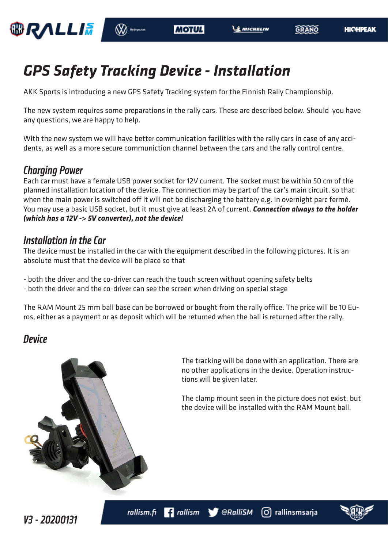

GRANO

# *GPS Safety Tracking Device - Installation*

AKK Sports is introducing a new GPS Safety Tracking system for the Finnish Rally Championship.

The new system requires some preparations in the rally cars. These are described below. Should you have any questions, we are happy to help.

With the new system we will have better communication facilities with the rally cars in case of any accidents, as well as a more secure communiction channel between the cars and the rally control centre.

### *Charging Power*

Each car must have a female USB power socket for 12V current. The socket must be within 50 cm of the planned installation location of the device. The connection may be part of the car's main circuit, so that when the main power is switched off it will not be discharging the battery e.g. in overnight parc fermé. You may use a basic USB socket, but it must give at least 2A of current. *Connection always to the holder (which has a 12V -> 5V converter), not the device!*

### *Installation in the Car*

The device must be installed in the car with the equipment described in the following pictures. It is an absolute must that the device will be place so that

- both the driver and the co-driver can reach the touch screen without opening safety belts

- both the driver and the co-driver can see the screen when driving on special stage

The RAM Mount 25 mm ball base can be borrowed or bought from the rally office. The price will be 10 Euros, either as a payment or as deposit which will be returned when the ball is returned after the rally.

### *Device*



The tracking will be done with an application. There are no other applications in the device. Operation instructions will be given later.

The clamp mount seen in the picture does not exist, but the device will be installed with the RAM Mount ball.